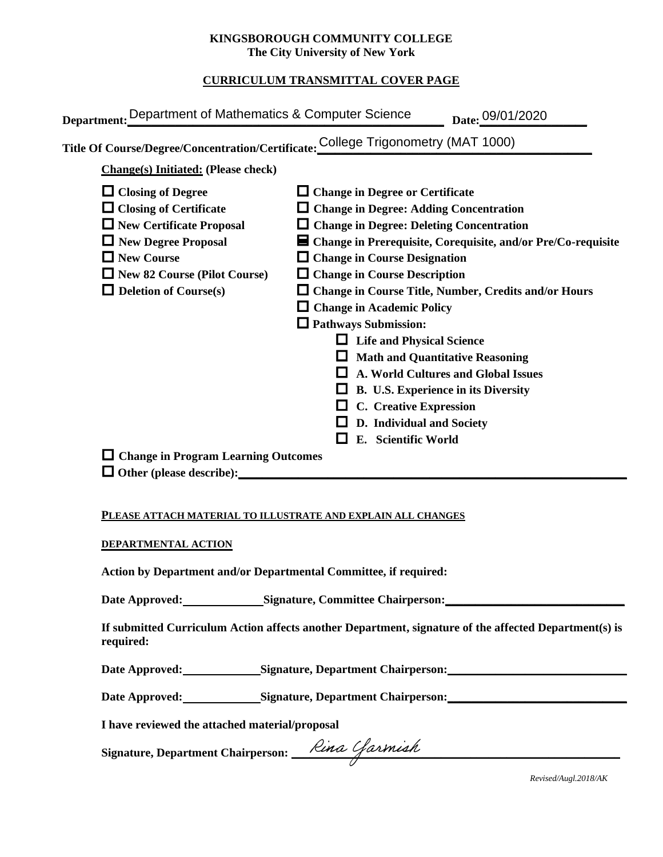### **KINGSBOROUGH COMMUNITY COLLEGE The City University of New York**

# **CURRICULUM TRANSMITTAL COVER PAGE**

| Department: Department of Mathematics & Computer Science                                                                                                                                                               | Date: 09/01/2020                                                                                                                                                                                                                                                                                                                                                                                                                                                                                                                                                                                                                                                    |
|------------------------------------------------------------------------------------------------------------------------------------------------------------------------------------------------------------------------|---------------------------------------------------------------------------------------------------------------------------------------------------------------------------------------------------------------------------------------------------------------------------------------------------------------------------------------------------------------------------------------------------------------------------------------------------------------------------------------------------------------------------------------------------------------------------------------------------------------------------------------------------------------------|
| Title Of Course/Degree/Concentration/Certificate: College Trigonometry (MAT 1000)                                                                                                                                      |                                                                                                                                                                                                                                                                                                                                                                                                                                                                                                                                                                                                                                                                     |
| <b>Change(s)</b> Initiated: (Please check)                                                                                                                                                                             |                                                                                                                                                                                                                                                                                                                                                                                                                                                                                                                                                                                                                                                                     |
| $\Box$ Closing of Degree<br>$\Box$ Closing of Certificate<br>$\Box$ New Certificate Proposal<br>$\Box$ New Degree Proposal<br>$\Box$ New Course<br>$\Box$ New 82 Course (Pilot Course)<br>$\Box$ Deletion of Course(s) | $\Box$ Change in Degree or Certificate<br>$\Box$ Change in Degree: Adding Concentration<br>$\Box$ Change in Degree: Deleting Concentration<br>$\blacksquare$ Change in Prerequisite, Corequisite, and/or Pre/Co-requisite<br>$\Box$ Change in Course Designation<br>$\Box$ Change in Course Description<br><b>Change in Course Title, Number, Credits and/or Hours</b><br>$\Box$ Change in Academic Policy<br>$\Box$ Pathways Submission:<br><b>Life and Physical Science</b><br><b>Math and Quantitative Reasoning</b><br><b>A. World Cultures and Global Issues</b><br>B. U.S. Experience in its Diversity<br>C. Creative Expression<br>D. Individual and Society |
| $\Box$ Change in Program Learning Outcomes<br>$\Box$ Other (please describe):                                                                                                                                          | E. Scientific World                                                                                                                                                                                                                                                                                                                                                                                                                                                                                                                                                                                                                                                 |

### **PLEASE ATTACH MATERIAL TO ILLUSTRATE AND EXPLAIN ALL CHANGES**

#### **DEPARTMENTAL ACTION**

**Action by Department and/or Departmental Committee, if required:**

Date Approved: Signature, Committee Chairperson: National Approved: National Approved: National Approved: National Approved: National Approved: National Approved: National Approved: National Approved: National Approved: Na

**If submitted Curriculum Action affects another Department, signature of the affected Department(s) is required:**

Date Approved: Signature, Department Chairperson: National Approved:

Date Approved: Signature, Department Chairperson: Network and Solven and Solven and Solven and Solven and Solven and Solven and Solven and Solven and Solven and Solven and Solven and Solven and Solven and Solven and Solven

**I have reviewed the attached material/proposal**

**Signature, Department Chairperson: \_\_\_\_\_\_\_\_\_\_\_\_\_\_\_\_\_\_\_\_\_\_\_\_\_\_\_\_\_\_\_\_\_\_\_\_\_\_\_\_\_\_\_\_\_\_\_\_\_\_\_\_\_\_\_**

*Revised/Augl.2018/AK*